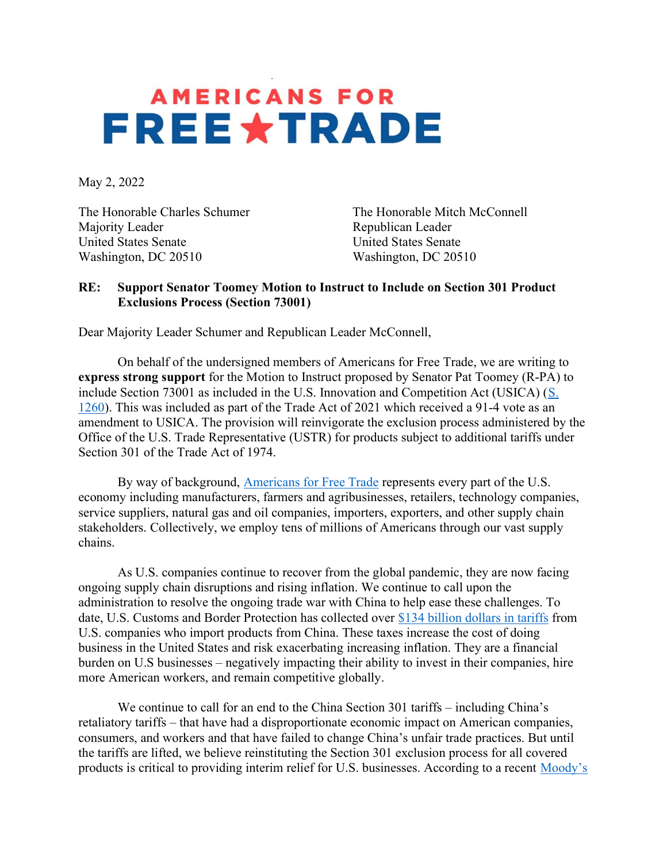## **AMERICANS FOR FREE \*TRADE**

May 2, 2022

Majority Leader **Republican Leader** Republican Leader United States Senate United States Senate Washington, DC 20510 Washington, DC 20510

The Honorable Charles Schumer The Honorable Mitch McConnell

## RE: Support Senator Toomey Motion to Instruct to Include on Section 301 Product Exclusions Process (Section 73001)

Dear Majority Leader Schumer and Republican Leader McConnell,

 On behalf of the undersigned members of Americans for Free Trade, we are writing to express strong support for the Motion to Instruct proposed by Senator Pat Toomey (R-PA) to include Section 73001 as included in the U.S. Innovation and Competition Act (USICA) (S. 1260). This was included as part of the Trade Act of 2021 which received a 91-4 vote as an amendment to USICA. The provision will reinvigorate the exclusion process administered by the Office of the U.S. Trade Representative (USTR) for products subject to additional tariffs under Section 301 of the Trade Act of 1974.

By way of background, Americans for Free Trade represents every part of the U.S. economy including manufacturers, farmers and agribusinesses, retailers, technology companies, service suppliers, natural gas and oil companies, importers, exporters, and other supply chain stakeholders. Collectively, we employ tens of millions of Americans through our vast supply chains.

 As U.S. companies continue to recover from the global pandemic, they are now facing ongoing supply chain disruptions and rising inflation. We continue to call upon the administration to resolve the ongoing trade war with China to help ease these challenges. To date, U.S. Customs and Border Protection has collected over \$134 billion dollars in tariffs from U.S. companies who import products from China. These taxes increase the cost of doing business in the United States and risk exacerbating increasing inflation. They are a financial burden on U.S businesses – negatively impacting their ability to invest in their companies, hire more American workers, and remain competitive globally.

 We continue to call for an end to the China Section 301 tariffs – including China's retaliatory tariffs – that have had a disproportionate economic impact on American companies, consumers, and workers and that have failed to change China's unfair trade practices. But until the tariffs are lifted, we believe reinstituting the Section 301 exclusion process for all covered products is critical to providing interim relief for U.S. businesses. According to a recent Moody's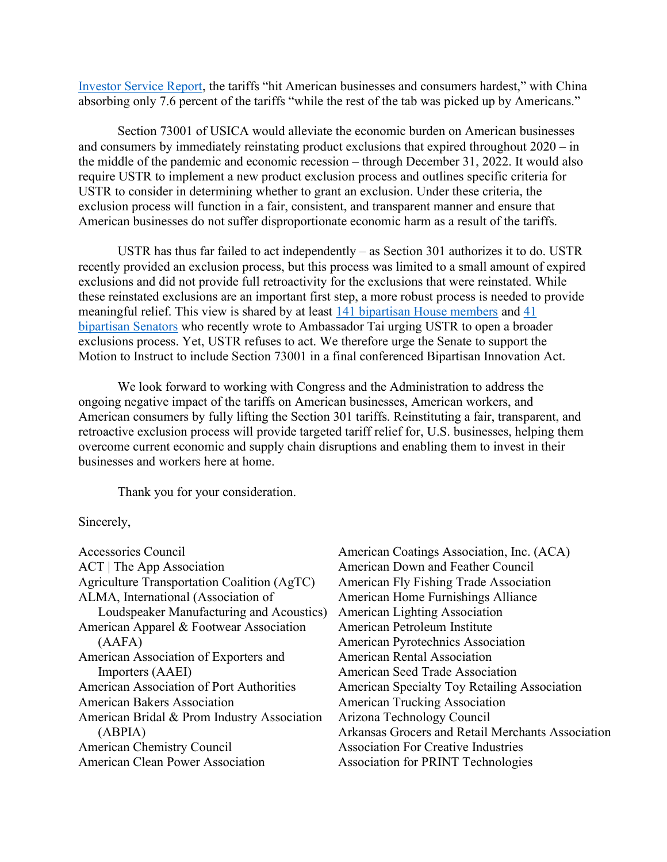Investor Service Report, the tariffs "hit American businesses and consumers hardest," with China absorbing only 7.6 percent of the tariffs "while the rest of the tab was picked up by Americans."

 Section 73001 of USICA would alleviate the economic burden on American businesses and consumers by immediately reinstating product exclusions that expired throughout 2020 – in the middle of the pandemic and economic recession – through December 31, 2022. It would also require USTR to implement a new product exclusion process and outlines specific criteria for USTR to consider in determining whether to grant an exclusion. Under these criteria, the exclusion process will function in a fair, consistent, and transparent manner and ensure that American businesses do not suffer disproportionate economic harm as a result of the tariffs.

USTR has thus far failed to act independently – as Section 301 authorizes it to do. USTR recently provided an exclusion process, but this process was limited to a small amount of expired exclusions and did not provide full retroactivity for the exclusions that were reinstated. While these reinstated exclusions are an important first step, a more robust process is needed to provide meaningful relief. This view is shared by at least 141 bipartisan House members and 41 bipartisan Senators who recently wrote to Ambassador Tai urging USTR to open a broader exclusions process. Yet, USTR refuses to act. We therefore urge the Senate to support the Motion to Instruct to include Section 73001 in a final conferenced Bipartisan Innovation Act.

 We look forward to working with Congress and the Administration to address the ongoing negative impact of the tariffs on American businesses, American workers, and American consumers by fully lifting the Section 301 tariffs. Reinstituting a fair, transparent, and retroactive exclusion process will provide targeted tariff relief for, U.S. businesses, helping them overcome current economic and supply chain disruptions and enabling them to invest in their businesses and workers here at home.

Thank you for your consideration.

## Sincerely,

Accessories Council ACT | The App Association Agriculture Transportation Coalition (AgTC) ALMA, International (Association of Loudspeaker Manufacturing and Acoustics) American Apparel & Footwear Association (AAFA) American Association of Exporters and Importers (AAEI) American Association of Port Authorities American Bakers Association American Bridal & Prom Industry Association (ABPIA) American Chemistry Council American Clean Power Association

American Coatings Association, Inc. (ACA) American Down and Feather Council American Fly Fishing Trade Association American Home Furnishings Alliance American Lighting Association American Petroleum Institute American Pyrotechnics Association American Rental Association American Seed Trade Association American Specialty Toy Retailing Association American Trucking Association Arizona Technology Council Arkansas Grocers and Retail Merchants Association Association For Creative Industries Association for PRINT Technologies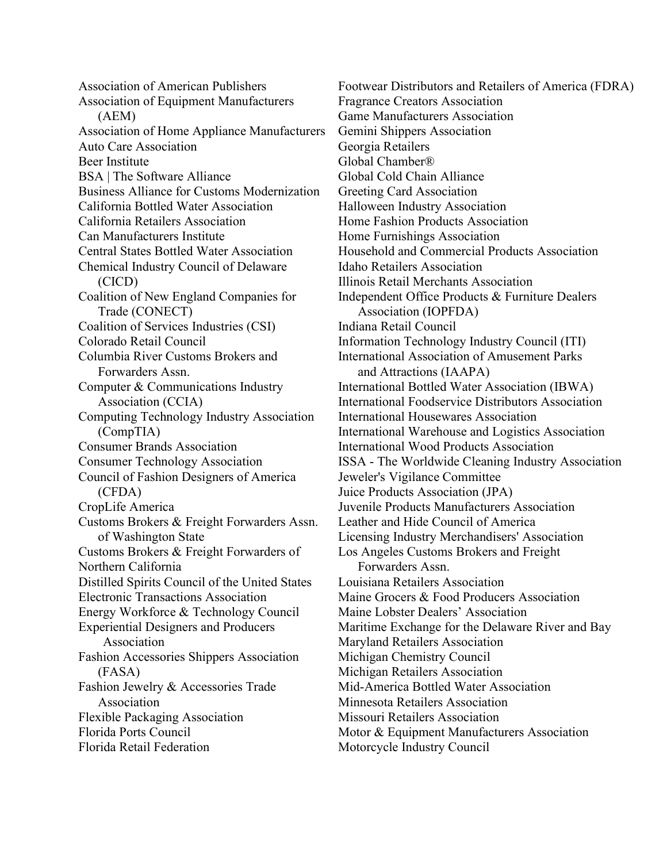Association of American Publishers Association of Equipment Manufacturers (AEM) Association of Home Appliance Manufacturers Auto Care Association Beer Institute BSA | The Software Alliance Business Alliance for Customs Modernization California Bottled Water Association California Retailers Association Can Manufacturers Institute Central States Bottled Water Association Chemical Industry Council of Delaware (CICD) Coalition of New England Companies for Trade (CONECT) Coalition of Services Industries (CSI) Colorado Retail Council Columbia River Customs Brokers and Forwarders Assn. Computer & Communications Industry Association (CCIA) Computing Technology Industry Association (CompTIA) Consumer Brands Association Consumer Technology Association Council of Fashion Designers of America (CFDA) CropLife America Customs Brokers & Freight Forwarders Assn. of Washington State Customs Brokers & Freight Forwarders of Northern California Distilled Spirits Council of the United States Electronic Transactions Association Energy Workforce & Technology Council Experiential Designers and Producers Association Fashion Accessories Shippers Association (FASA) Fashion Jewelry & Accessories Trade Association Flexible Packaging Association Florida Ports Council Florida Retail Federation

Footwear Distributors and Retailers of America (FDRA) Fragrance Creators Association Game Manufacturers Association Gemini Shippers Association Georgia Retailers Global Chamber® Global Cold Chain Alliance Greeting Card Association Halloween Industry Association Home Fashion Products Association Home Furnishings Association Household and Commercial Products Association Idaho Retailers Association Illinois Retail Merchants Association Independent Office Products & Furniture Dealers Association (IOPFDA) Indiana Retail Council Information Technology Industry Council (ITI) International Association of Amusement Parks and Attractions (IAAPA) International Bottled Water Association (IBWA) International Foodservice Distributors Association International Housewares Association International Warehouse and Logistics Association International Wood Products Association ISSA - The Worldwide Cleaning Industry Association Jeweler's Vigilance Committee Juice Products Association (JPA) Juvenile Products Manufacturers Association Leather and Hide Council of America Licensing Industry Merchandisers' Association Los Angeles Customs Brokers and Freight Forwarders Assn. Louisiana Retailers Association Maine Grocers & Food Producers Association Maine Lobster Dealers' Association Maritime Exchange for the Delaware River and Bay Maryland Retailers Association Michigan Chemistry Council Michigan Retailers Association Mid-America Bottled Water Association Minnesota Retailers Association Missouri Retailers Association Motor & Equipment Manufacturers Association Motorcycle Industry Council